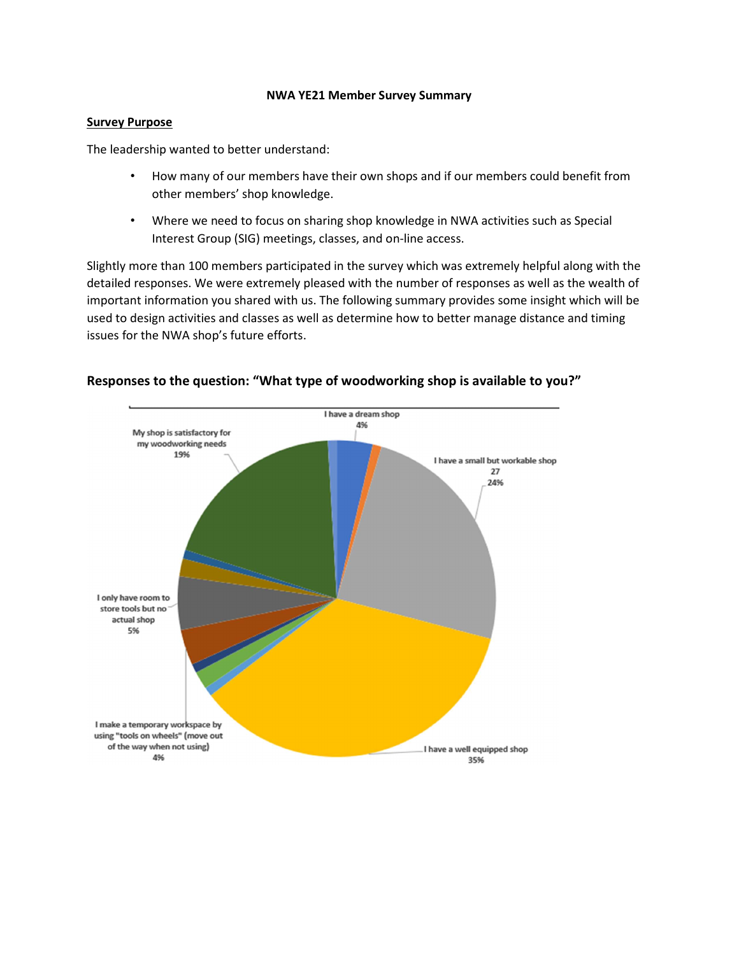#### NWA YE21 Member Survey Summary

### Survey Purpose

The leadership wanted to better understand:

- How many of our members have their own shops and if our members could benefit from other members' shop knowledge.
- Where we need to focus on sharing shop knowledge in NWA activities such as Special Interest Group (SIG) meetings, classes, and on-line access.

Slightly more than 100 members participated in the survey which was extremely helpful along with the detailed responses. We were extremely pleased with the number of responses as well as the wealth of important information you shared with us. The following summary provides some insight which will be used to design activities and classes as well as determine how to better manage distance and timing issues for the NWA shop's future efforts.



# Responses to the question: "What type of woodworking shop is available to you?"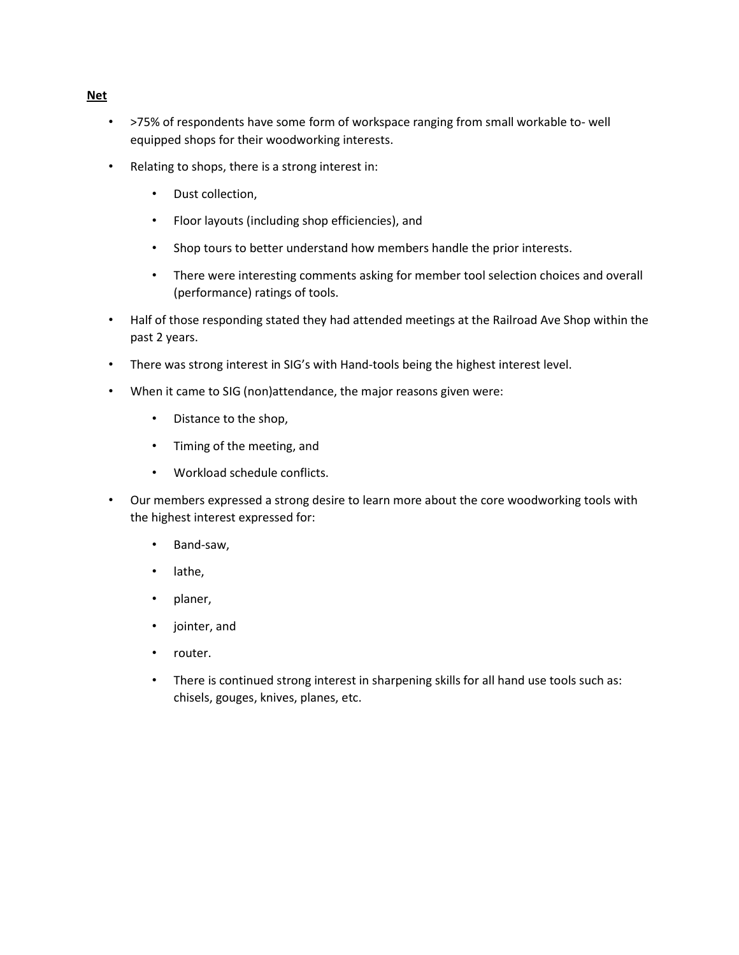- >75% of respondents have some form of workspace ranging from small workable to- well equipped shops for their woodworking interests.
- Relating to shops, there is a strong interest in:
	- Dust collection,
	- Floor layouts (including shop efficiencies), and
	- Shop tours to better understand how members handle the prior interests.
	- There were interesting comments asking for member tool selection choices and overall (performance) ratings of tools.
- Half of those responding stated they had attended meetings at the Railroad Ave Shop within the past 2 years.
- There was strong interest in SIG's with Hand-tools being the highest interest level.
- When it came to SIG (non)attendance, the major reasons given were:
	- Distance to the shop,
	- Timing of the meeting, and
	- Workload schedule conflicts.
- Our members expressed a strong desire to learn more about the core woodworking tools with the highest interest expressed for:
	- Band-saw,
	- lathe,
	- planer,
	- jointer, and
	- router.
	- There is continued strong interest in sharpening skills for all hand use tools such as: chisels, gouges, knives, planes, etc.

#### Net